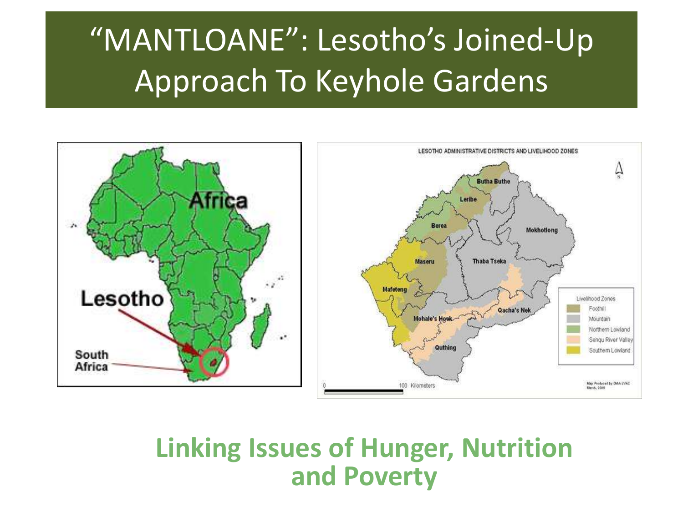#### "MANTLOANE": Lesotho's Joined-Up Approach To Keyhole Gardens



#### **Linking Issues of Hunger, Nutrition and Poverty**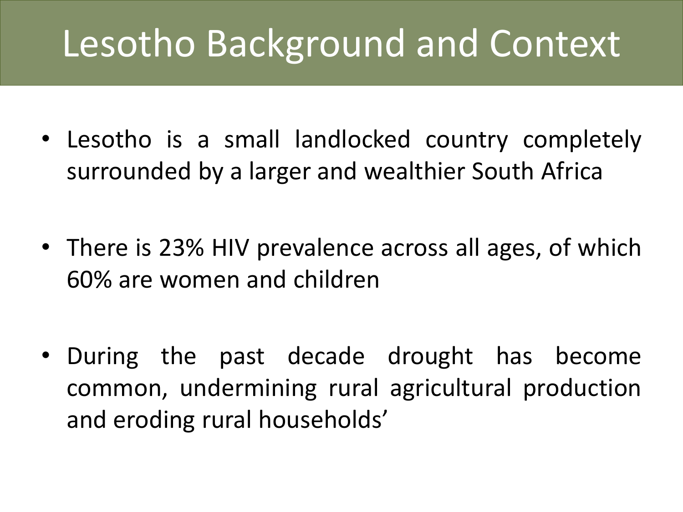# Lesotho Background and Context

- Lesotho is a small landlocked country completely surrounded by a larger and wealthier South Africa
- There is 23% HIV prevalence across all ages, of which 60% are women and children
- During the past decade drought has become common, undermining rural agricultural production and eroding rural households'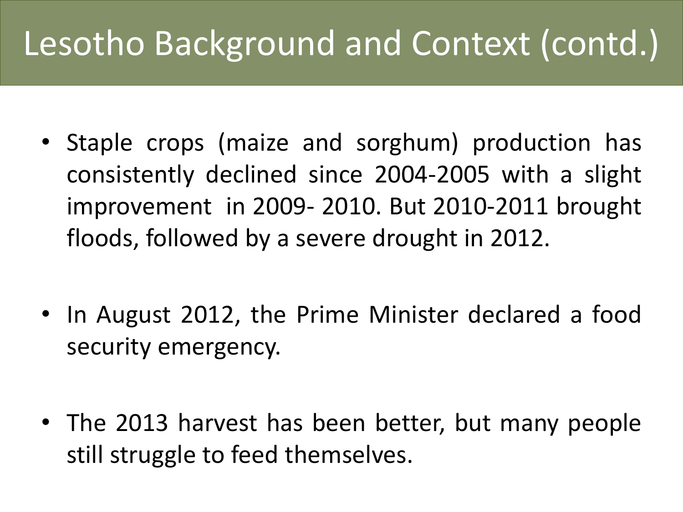### Lesotho Background and Context (contd.)

- Staple crops (maize and sorghum) production has consistently declined since 2004-2005 with a slight improvement in 2009- 2010. But 2010-2011 brought floods, followed by a severe drought in 2012.
- In August 2012, the Prime Minister declared a food security emergency.
- The 2013 harvest has been better, but many people still struggle to feed themselves.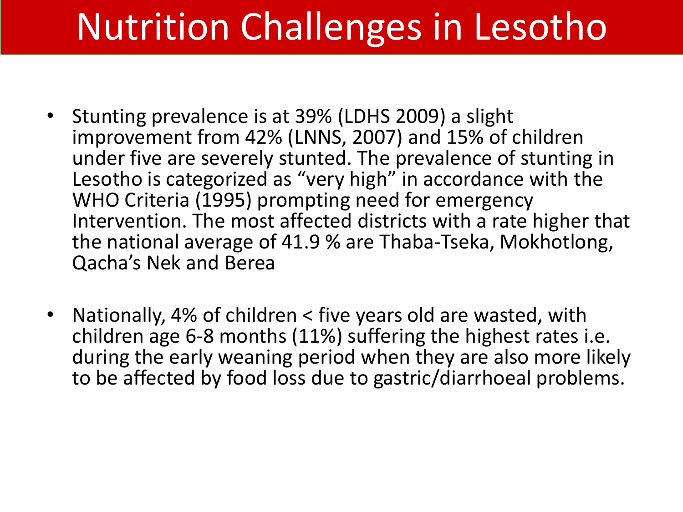## Nutrition Challenges in Lesotho

- Stunting prevalence is at 39% (LDHS 2009) a slight improvement from 42% (LNNS, 2007) and 15% of children under five are severely stunted. The prevalence of stunting in Lesotho is categorized as "very high" in accordance with the WHO Criteria (1995) prompting need for emergency Intervention. The most affected districts with a rate higher that the national average of 41.9 % are Thaba-Tseka, Mokhotlong, Qacha's Nek and Berea
- Nationally, 4% of children < five years old are wasted, with children age 6-8 months (11%) suffering the highest rates i.e. during the early weaning period when they are also more likely to be affected by food loss due to gastric/diarrhoeal problems.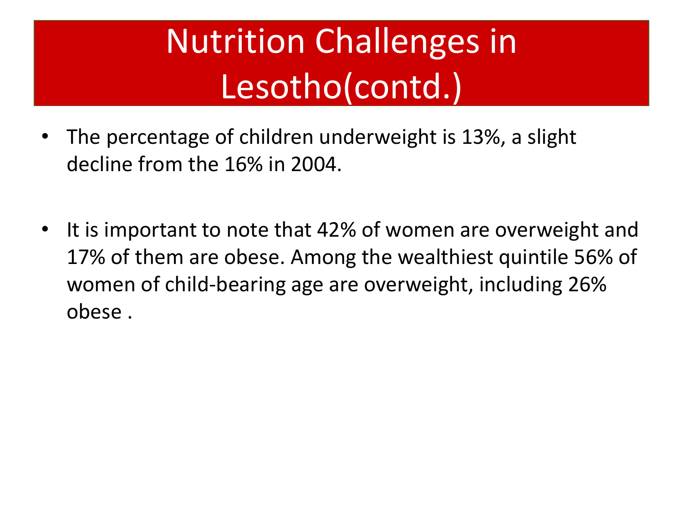## Nutrition Challenges in Lesotho(contd.)

- The percentage of children underweight is 13%, a slight decline from the 16% in 2004.
- It is important to note that 42% of women are overweight and 17% of them are obese. Among the wealthiest quintile 56% of women of child-bearing age are overweight, including 26% obese .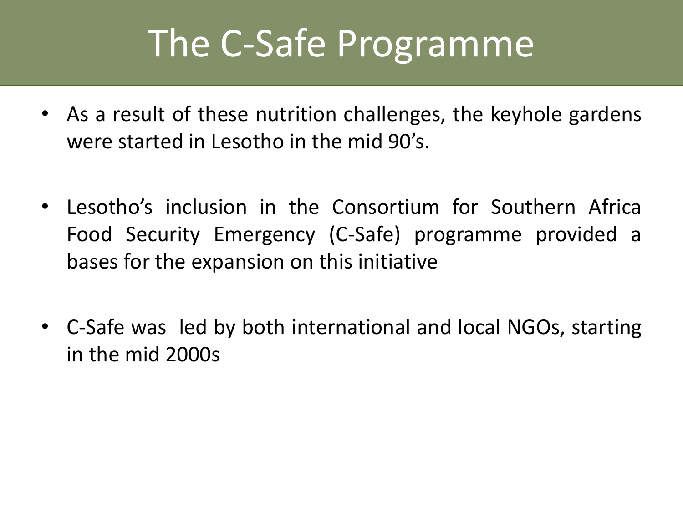### The C-Safe Programme

- As a result of these nutrition challenges, the keyhole gardens were started in Lesotho in the mid 90's.
- Lesotho's inclusion in the Consortium for Southern Africa Food Security Emergency (C-Safe) programme provided a bases for the expansion on this initiative
- C-Safe was led by both international and local NGOs, starting in the mid 2000s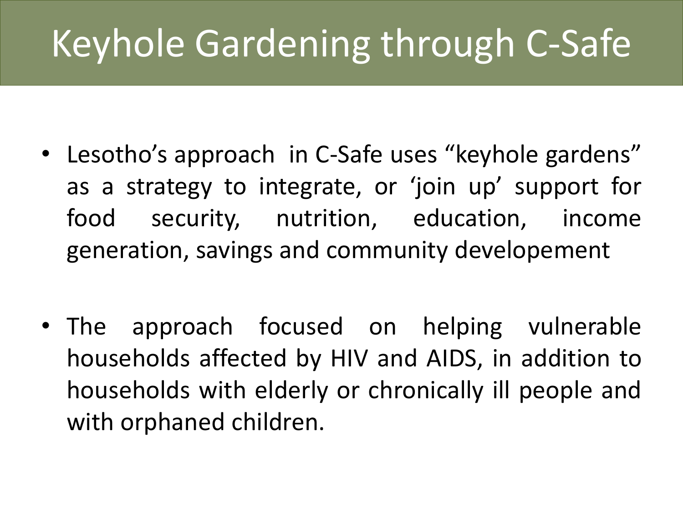# Keyhole Gardening through C-Safe

- Lesotho's approach in C-Safe uses "keyhole gardens" as a strategy to integrate, or 'join up' support for food security, nutrition, education, income generation, savings and community developement
- The approach focused on helping vulnerable households affected by HIV and AIDS, in addition to households with elderly or chronically ill people and with orphaned children.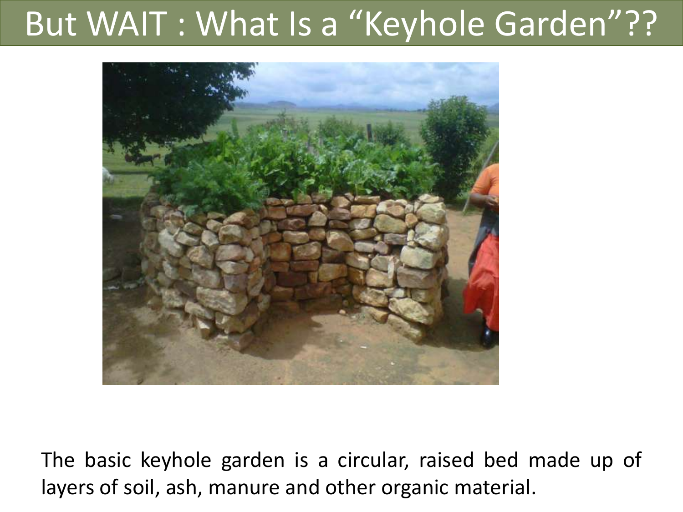#### But WAIT : What Is a "Keyhole Garden"??



The basic keyhole garden is a circular, raised bed made up of layers of soil, ash, manure and other organic material.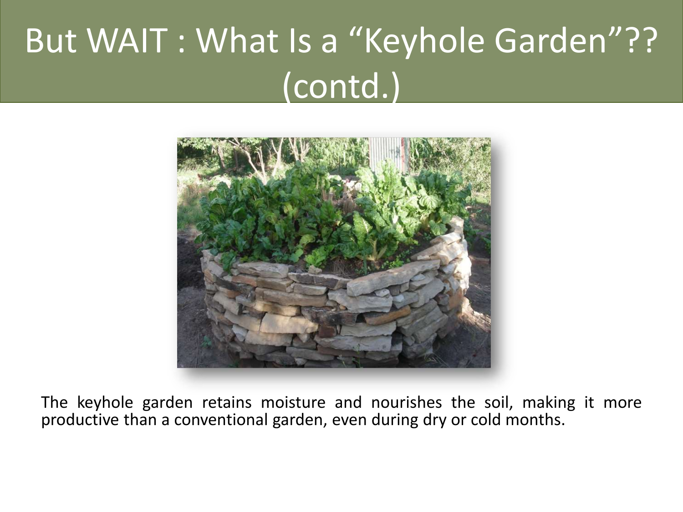### But WAIT : What Is a "Keyhole Garden"?? (contd.)



The keyhole garden retains moisture and nourishes the soil, making it more productive than a conventional garden, even during dry or cold months.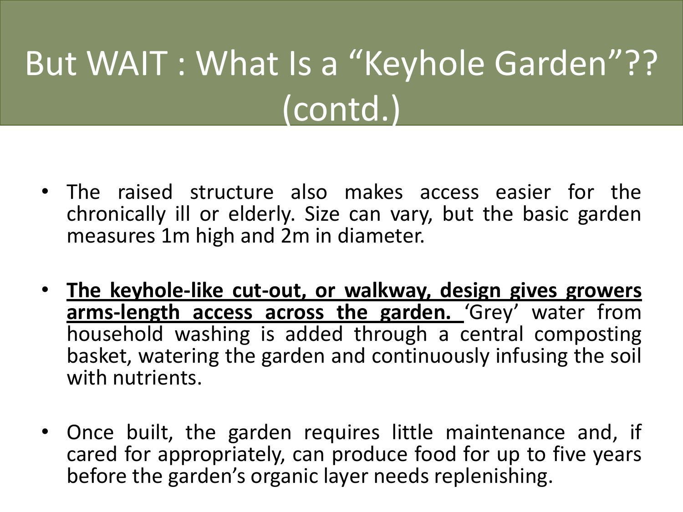## But WAIT : What Is a "Keyhole Garden"?? (contd.)

- The raised structure also makes access easier for the chronically ill or elderly. Size can vary, but the basic garden measures 1m high and 2m in diameter.
- **The keyhole-like cut-out, or walkway, design gives growers arms-length access across the garden.** 'Grey' water from household washing is added through a central composting basket, watering the garden and continuously infusing the soil with nutrients.
- Once built, the garden requires little maintenance and, if cared for appropriately, can produce food for up to five years before the garden's organic layer needs replenishing.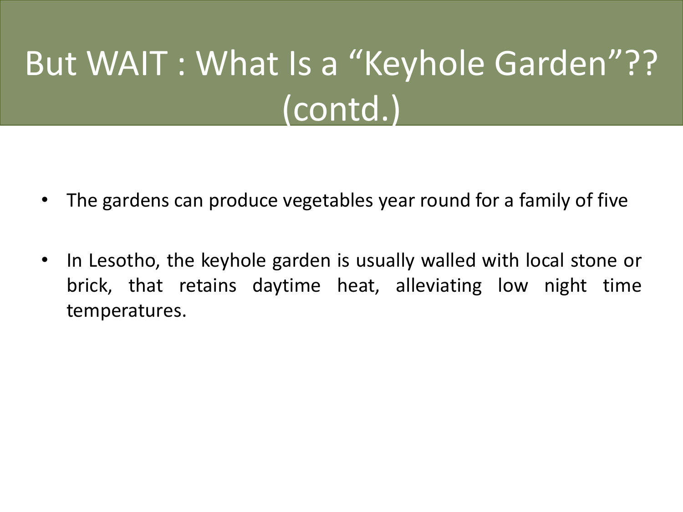## But WAIT : What Is a "Keyhole Garden"?? (contd.)

- The gardens can produce vegetables year round for a family of five
- In Lesotho, the keyhole garden is usually walled with local stone or brick, that retains daytime heat, alleviating low night time temperatures.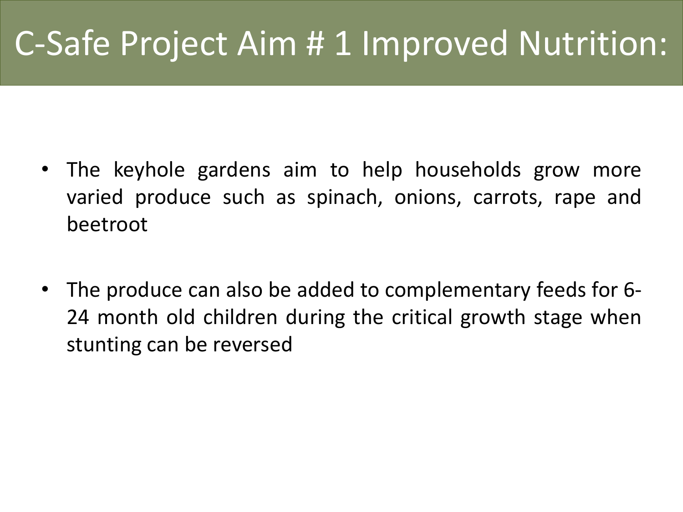### C-Safe Project Aim # 1 Improved Nutrition:

- The keyhole gardens aim to help households grow more varied produce such as spinach, onions, carrots, rape and beetroot
- The produce can also be added to complementary feeds for 6- 24 month old children during the critical growth stage when stunting can be reversed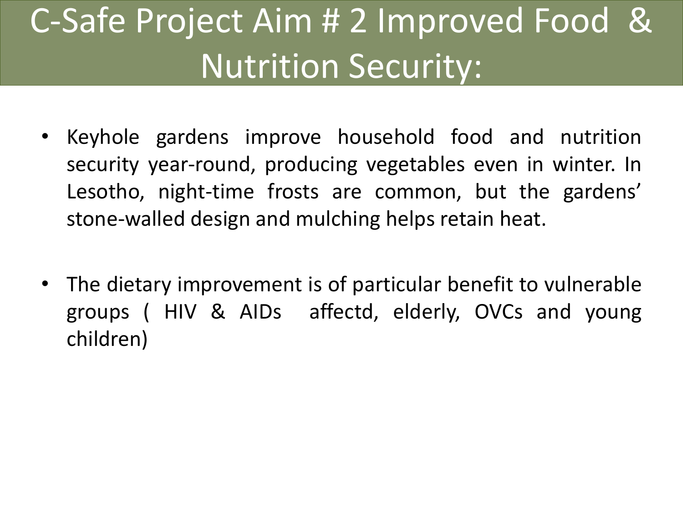### C-Safe Project Aim # 2 Improved Food & Nutrition Security:

- Keyhole gardens improve household food and nutrition security year-round, producing vegetables even in winter. In Lesotho, night-time frosts are common, but the gardens' stone-walled design and mulching helps retain heat.
- The dietary improvement is of particular benefit to vulnerable groups ( HIV & AIDs affectd, elderly, OVCs and young children)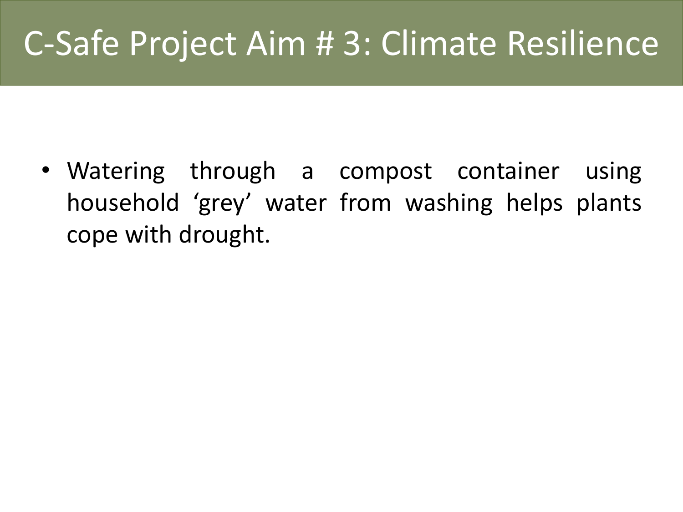#### C-Safe Project Aim # 3: Climate Resilience

• Watering through a compost container using household 'grey' water from washing helps plants cope with drought.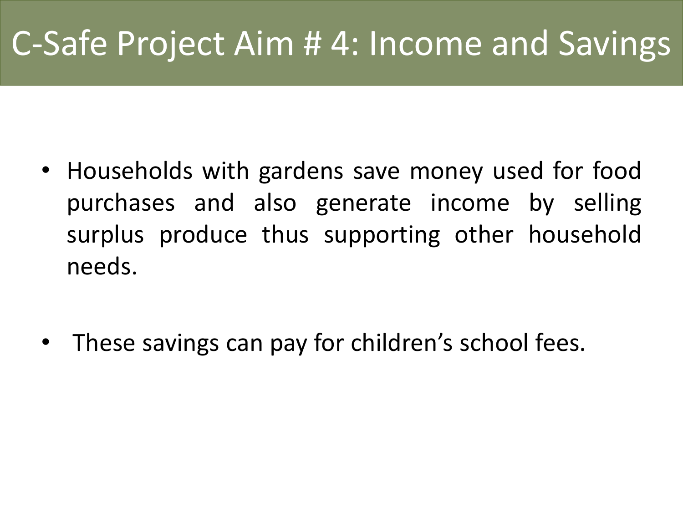### C-Safe Project Aim # 4: Income and Savings

- Households with gardens save money used for food purchases and also generate income by selling surplus produce thus supporting other household needs.
- These savings can pay for children's school fees.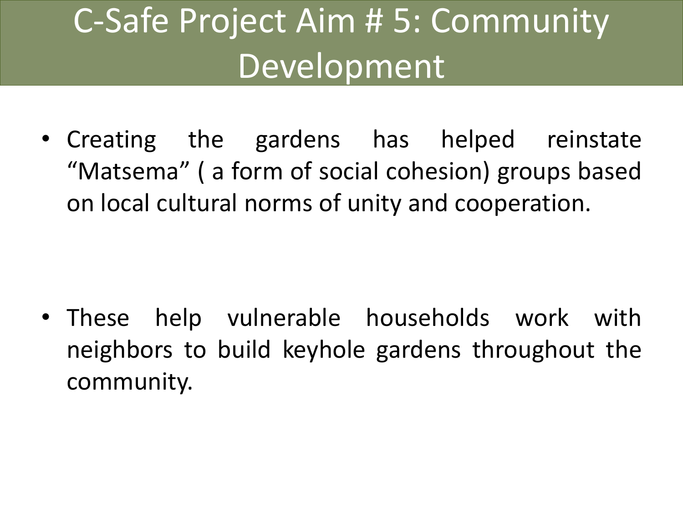### C-Safe Project Aim # 5: Community Development

• Creating the gardens has helped reinstate "Matsema" ( a form of social cohesion) groups based on local cultural norms of unity and cooperation.

• These help vulnerable households work with neighbors to build keyhole gardens throughout the community.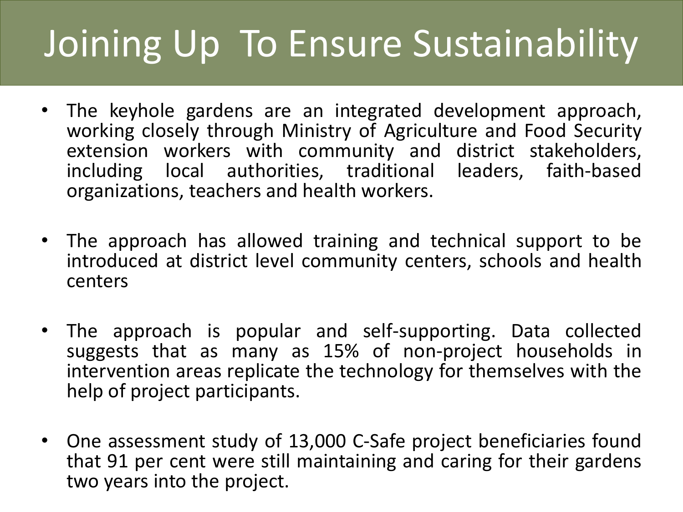# Joining Up To Ensure Sustainability

- The keyhole gardens are an integrated development approach, working closely through Ministry of Agriculture and Food Security extension workers with community and district stakeholders, including local authorities, traditional leaders, faith-based organizations, teachers and health workers.
- The approach has allowed training and technical support to be introduced at district level community centers, schools and health centers
- The approach is popular and self-supporting. Data collected suggests that as many as 15% of non-project households in intervention areas replicate the technology for themselves with the help of project participants.
- One assessment study of 13,000 C-Safe project beneficiaries found that 91 per cent were still maintaining and caring for their gardens two years into the project.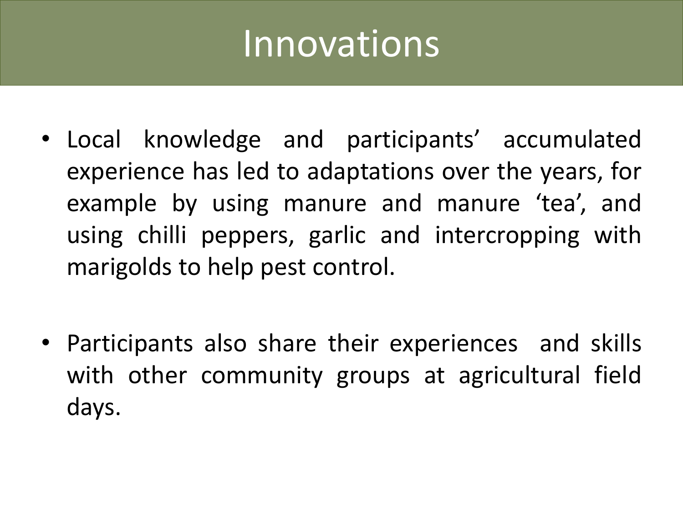### Innovations

- Local knowledge and participants' accumulated experience has led to adaptations over the years, for example by using manure and manure 'tea', and using chilli peppers, garlic and intercropping with marigolds to help pest control.
- Participants also share their experiences and skills with other community groups at agricultural field days.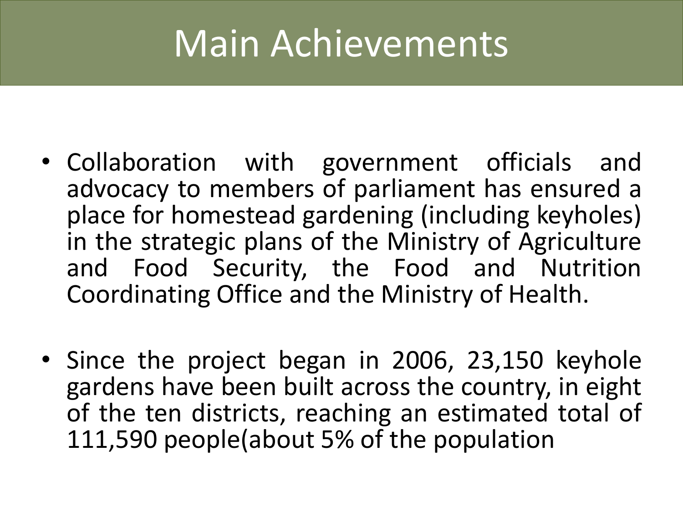## Main Achievements

- Collaboration with government officials and advocacy to members of parliament has ensured a place for homestead gardening (including keyholes) in the strategic plans of the Ministry of Agriculture and Food Security, the Food and Nutrition Coordinating Office and the Ministry of Health.
- Since the project began in 2006, 23,150 keyhole gardens have been built across the country, in eight of the ten districts, reaching an estimated total of 111,590 people(about 5% of the population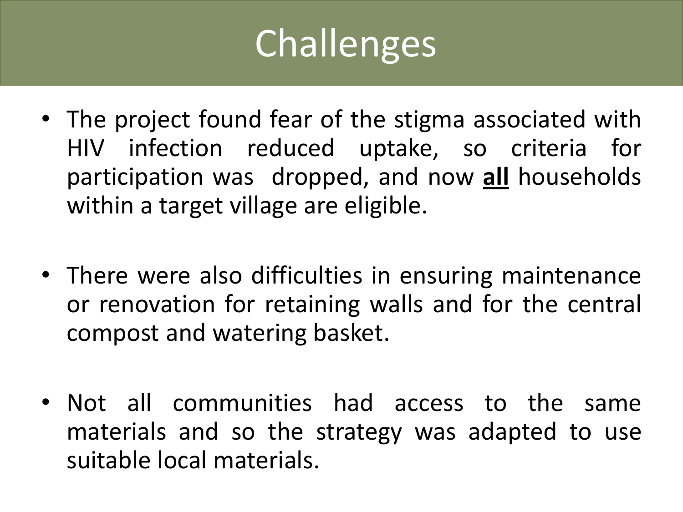# Challenges

- The project found fear of the stigma associated with HIV infection reduced uptake, so criteria for participation was dropped, and now **all** households within a target village are eligible.
- There were also difficulties in ensuring maintenance or renovation for retaining walls and for the central compost and watering basket.
- Not all communities had access to the same materials and so the strategy was adapted to use suitable local materials.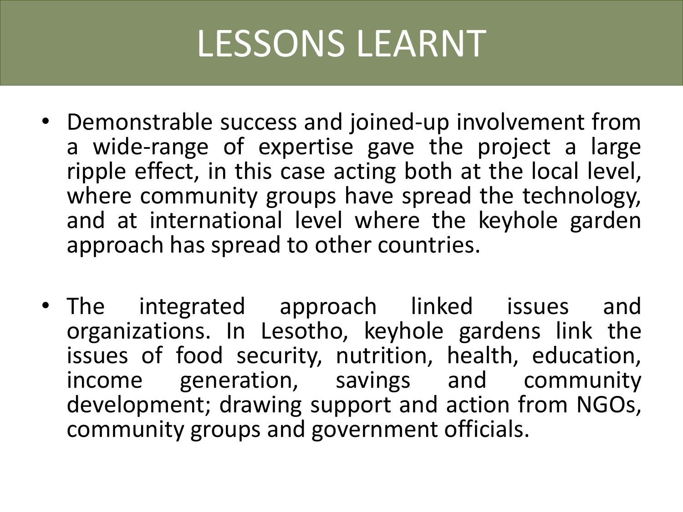## LESSONS LEARNT

- Demonstrable success and joined-up involvement from a wide-range of expertise gave the project a large ripple effect, in this case acting both at the local level, where community groups have spread the technology, and at international level where the keyhole garden approach has spread to other countries.
- The integrated approach linked issues and organizations. In Lesotho, keyhole gardens link the issues of food security, nutrition, health, education, income generation, savings and community development; drawing support and action from NGOs, community groups and government officials.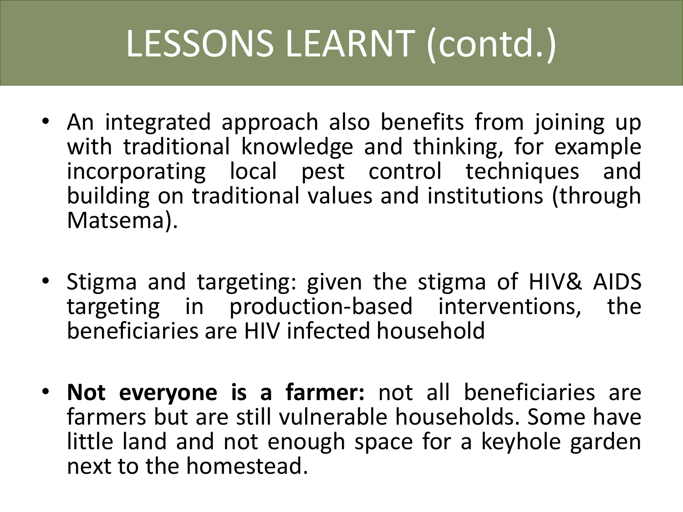# LESSONS LEARNT (contd.)

- An integrated approach also benefits from joining up with traditional knowledge and thinking, for example incorporating local pest control techniques and building on traditional values and institutions (through Matsema).
- Stigma and targeting: given the stigma of HIV& AIDS targeting in production-based interventions, the beneficiaries are HIV infected household
- **Not everyone is a farmer:** not all beneficiaries are farmers but are still vulnerable households. Some have little land and not enough space for a keyhole garden next to the homestead.